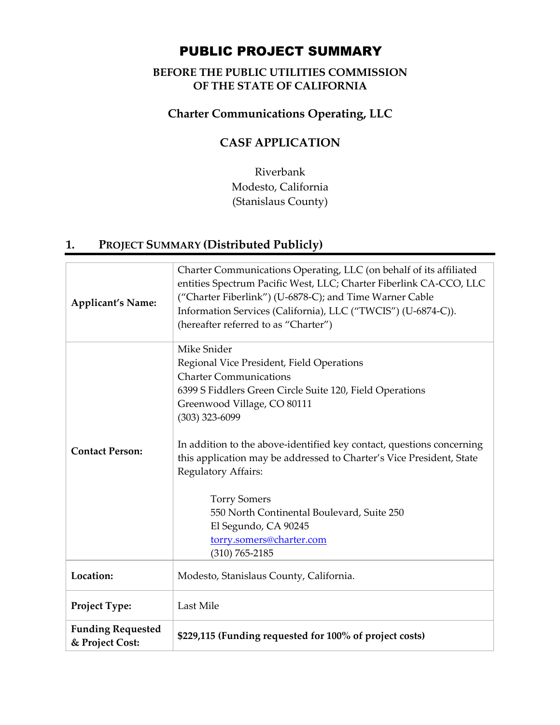# PUBLIC PROJECT SUMMARY

### **BEFORE THE PUBLIC UTILITIES COMMISSION OF THE STATE OF CALIFORNIA**

### **Charter Communications Operating, LLC**

## **CASF APPLICATION**

Riverbank Modesto, California (Stanislaus County)

## **1. PROJECT SUMMARY (Distributed Publicly)**

| <b>Applicant's Name:</b>                    | Charter Communications Operating, LLC (on behalf of its affiliated<br>entities Spectrum Pacific West, LLC; Charter Fiberlink CA-CCO, LLC<br>("Charter Fiberlink") (U-6878-C); and Time Warner Cable<br>Information Services (California), LLC ("TWCIS") (U-6874-C)).<br>(hereafter referred to as "Charter")                                                                                                                                                                                                                    |
|---------------------------------------------|---------------------------------------------------------------------------------------------------------------------------------------------------------------------------------------------------------------------------------------------------------------------------------------------------------------------------------------------------------------------------------------------------------------------------------------------------------------------------------------------------------------------------------|
| <b>Contact Person:</b>                      | Mike Snider<br>Regional Vice President, Field Operations<br><b>Charter Communications</b><br>6399 S Fiddlers Green Circle Suite 120, Field Operations<br>Greenwood Village, CO 80111<br>$(303)$ 323-6099<br>In addition to the above-identified key contact, questions concerning<br>this application may be addressed to Charter's Vice President, State<br>Regulatory Affairs:<br><b>Torry Somers</b><br>550 North Continental Boulevard, Suite 250<br>El Segundo, CA 90245<br>torry.somers@charter.com<br>$(310) 765 - 2185$ |
| Location:                                   | Modesto, Stanislaus County, California.                                                                                                                                                                                                                                                                                                                                                                                                                                                                                         |
| Project Type:                               | Last Mile                                                                                                                                                                                                                                                                                                                                                                                                                                                                                                                       |
| <b>Funding Requested</b><br>& Project Cost: | \$229,115 (Funding requested for 100% of project costs)                                                                                                                                                                                                                                                                                                                                                                                                                                                                         |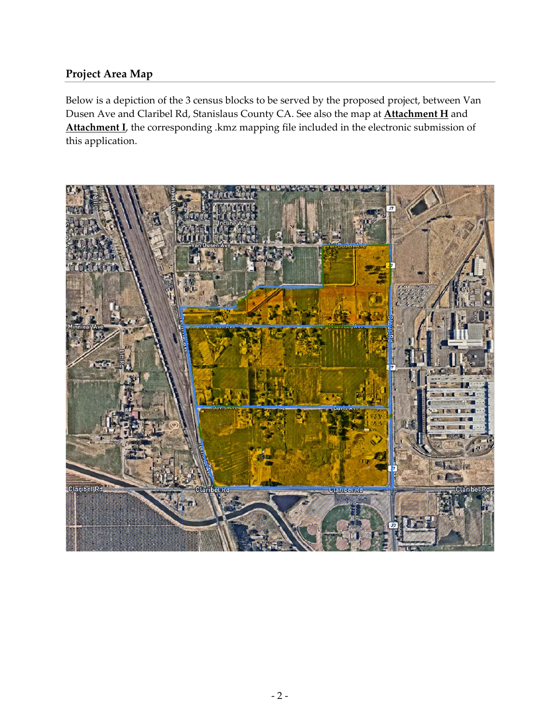### **Project Area Map**

Below is a depiction of the 3 census blocks to be served by the proposed project, between Van Dusen Ave and Claribel Rd, Stanislaus County CA. See also the map at **Attachment H** and Attachment **I**, the corresponding .kmz mapping file included in the electronic submission of this application.

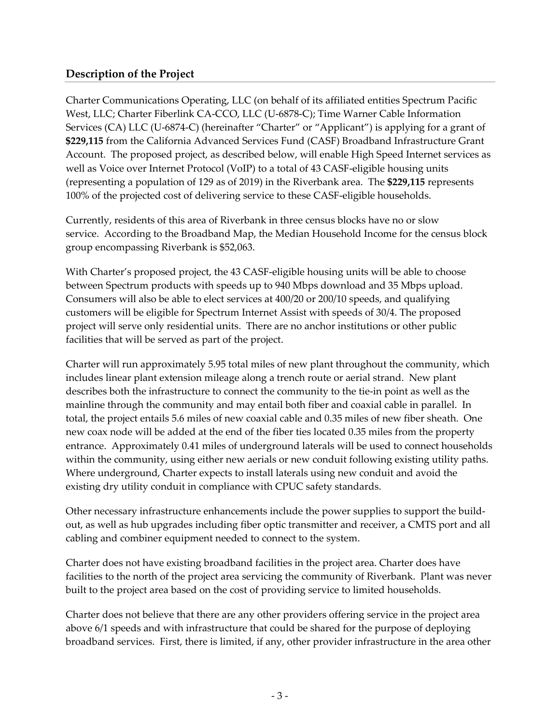### **Description of the Project**

Charter Communications Operating, LLC (on behalf of its affiliated entities Spectrum Pacific West, LLC; Charter Fiberlink CA‐CCO, LLC (U‐6878‐C); Time Warner Cable Information Services (CA) LLC (U-6874-C) (hereinafter "Charter" or "Applicant") is applying for a grant of **\$229,115** from the California Advanced Services Fund (CASF) Broadband Infrastructure Grant Account. The proposed project, as described below, will enable High Speed Internet services as well as Voice over Internet Protocol (VoIP) to a total of 43 CASF-eligible housing units (representing a population of 129 as of 2019) in the Riverbank area. The **\$229,115** represents 100% of the projected cost of delivering service to these CASF‐eligible households.

Currently, residents of this area of Riverbank in three census blocks have no or slow service. According to the Broadband Map, the Median Household Income for the census block group encompassing Riverbank is \$52,063.

With Charter's proposed project, the 43 CASF-eligible housing units will be able to choose between Spectrum products with speeds up to 940 Mbps download and 35 Mbps upload. Consumers will also be able to elect services at 400/20 or 200/10 speeds, and qualifying customers will be eligible for Spectrum Internet Assist with speeds of 30/4. The proposed project will serve only residential units. There are no anchor institutions or other public facilities that will be served as part of the project.

Charter will run approximately 5.95 total miles of new plant throughout the community, which includes linear plant extension mileage along a trench route or aerial strand. New plant describes both the infrastructure to connect the community to the tie‐in point as well as the mainline through the community and may entail both fiber and coaxial cable in parallel. In total, the project entails 5.6 miles of new coaxial cable and 0.35 miles of new fiber sheath. One new coax node will be added at the end of the fiber ties located 0.35 miles from the property entrance. Approximately 0.41 miles of underground laterals will be used to connect households within the community, using either new aerials or new conduit following existing utility paths. Where underground, Charter expects to install laterals using new conduit and avoid the existing dry utility conduit in compliance with CPUC safety standards.

Other necessary infrastructure enhancements include the power supplies to support the build‐ out, as well as hub upgrades including fiber optic transmitter and receiver, a CMTS port and all cabling and combiner equipment needed to connect to the system.

Charter does not have existing broadband facilities in the project area. Charter does have facilities to the north of the project area servicing the community of Riverbank. Plant was never built to the project area based on the cost of providing service to limited households.

Charter does not believe that there are any other providers offering service in the project area above 6/1 speeds and with infrastructure that could be shared for the purpose of deploying broadband services. First, there is limited, if any, other provider infrastructure in the area other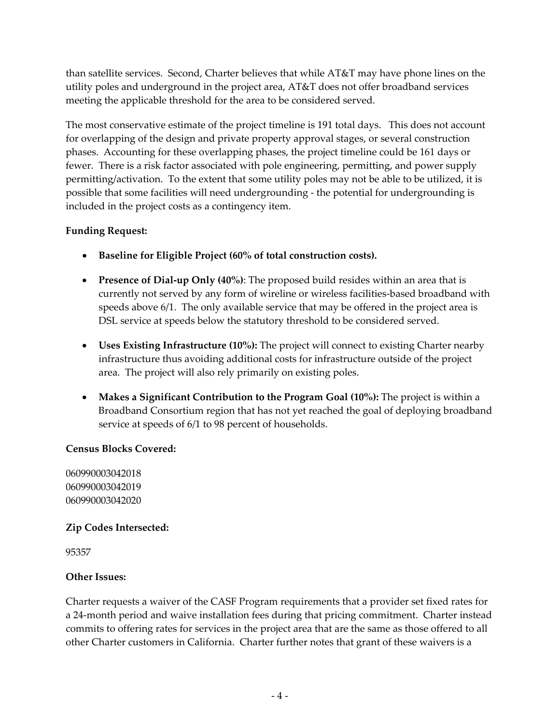than satellite services. Second, Charter believes that while AT&T may have phone lines on the utility poles and underground in the project area, AT&T does not offer broadband services meeting the applicable threshold for the area to be considered served.

The most conservative estimate of the project timeline is 191 total days. This does not account for overlapping of the design and private property approval stages, or several construction phases. Accounting for these overlapping phases, the project timeline could be 161 days or fewer. There is a risk factor associated with pole engineering, permitting, and power supply permitting/activation. To the extent that some utility poles may not be able to be utilized, it is possible that some facilities will need undergrounding ‐ the potential for undergrounding is included in the project costs as a contingency item.

#### **Funding Request:**

- **Baseline for Eligible Project (60% of total construction costs).**
- **Presence of Dial‐up Only (40%)**: The proposed build resides within an area that is currently not served by any form of wireline or wireless facilities‐based broadband with speeds above 6/1. The only available service that may be offered in the project area is DSL service at speeds below the statutory threshold to be considered served.
- **Uses Existing Infrastructure (10%):** The project will connect to existing Charter nearby infrastructure thus avoiding additional costs for infrastructure outside of the project area. The project will also rely primarily on existing poles.
- **Makes a Significant Contribution to the Program Goal (10%):** The project is within a Broadband Consortium region that has not yet reached the goal of deploying broadband service at speeds of 6/1 to 98 percent of households.

#### **Census Blocks Covered:**

060990003042018 060990003042019 060990003042020

#### **Zip Codes Intersected:**

95357

#### **Other Issues:**

Charter requests a waiver of the CASF Program requirements that a provider set fixed rates for a 24‐month period and waive installation fees during that pricing commitment. Charter instead commits to offering rates for services in the project area that are the same as those offered to all other Charter customers in California. Charter further notes that grant of these waivers is a